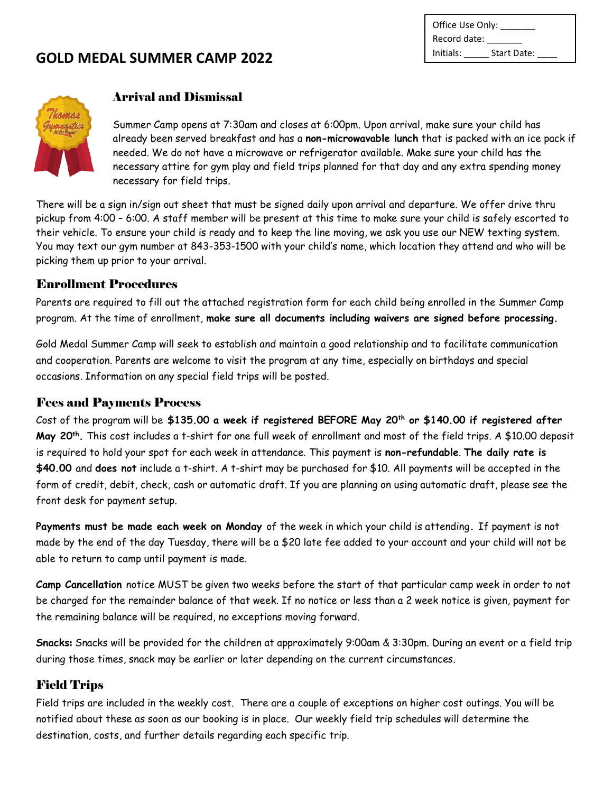| Office Use Only: |             |
|------------------|-------------|
| Record date:     |             |
| Initials:        | Start Date: |



### Arrival and Dismissal

Summer Camp opens at 7:30am and closes at 6:00pm. Upon arrival, make sure your child has already been served breakfast and has a **non-microwavable lunch** that is packed with an ice pack if needed. We do not have a microwave or refrigerator available. Make sure your child has the necessary attire for gym play and field trips planned for that day and any extra spending money necessary for field trips.

There will be a sign in/sign out sheet that must be signed daily upon arrival and departure. We offer drive thru pickup from 4:00 – 6:00. A staff member will be present at this time to make sure your child is safely escorted to their vehicle. To ensure your child is ready and to keep the line moving, we ask you use our NEW texting system. You may text our gym number at 843-353-1500 with your child's name, which location they attend and who will be picking them up prior to your arrival.

### Enrollment Procedures

Parents are required to fill out the attached registration form for each child being enrolled in the Summer Camp program. At the time of enrollment, **make sure all documents including waivers are signed before processing.**

Gold Medal Summer Camp will seek to establish and maintain a good relationship and to facilitate communication and cooperation. Parents are welcome to visit the program at any time, especially on birthdays and special occasions. Information on any special field trips will be posted.

### Fees and Payments Process

Cost of the program will be **\$135.00 a week if registered BEFORE May 20th or \$140.00 if registered after May 20th .** This cost includes a t-shirt for one full week of enrollment and most of the field trips. A \$10.00 deposit is required to hold your spot for each week in attendance. This payment is **non-refundable**. **The daily rate is \$40.00** and **does not** include a t-shirt. A t-shirt may be purchased for \$10. All payments will be accepted in the form of credit, debit, check, cash or automatic draft. If you are planning on using automatic draft, please see the front desk for payment setup.

**Payments must be made each week on Monday** of the week in which your child is attending**.** If payment is not made by the end of the day Tuesday, there will be a \$20 late fee added to your account and your child will not be able to return to camp until payment is made.

**Camp Cancellation** notice MUST be given two weeks before the start of that particular camp week in order to not be charged for the remainder balance of that week. If no notice or less than a 2 week notice is given, payment for the remaining balance will be required, no exceptions moving forward.

**Snacks**: Snacks will be provided for the children at approximately 9:00am & 3:30pm. During an event or a field trip during those times, snack may be earlier or later depending on the current circumstances.

### Field Trips

Field trips are included in the weekly cost. There are a couple of exceptions on higher cost outings. You will be notified about these as soon as our booking is in place. Our weekly field trip schedules will determine the destination, costs, and further details regarding each specific trip.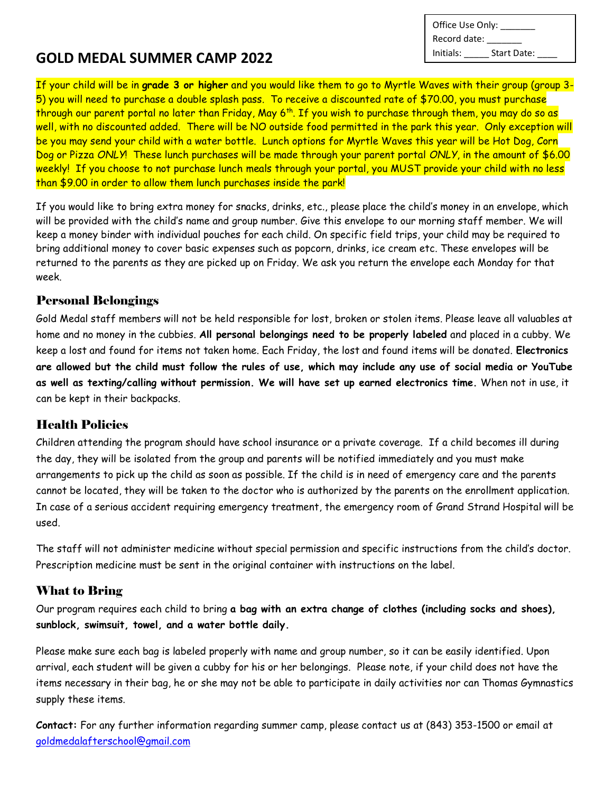Office Use Only: \_\_ Record date: Initials: \_\_\_\_\_ Start Date: \_\_\_\_

If your child will be in **grade 3 or higher** and you would like them to go to Myrtle Waves with their group (group 3- 5) you will need to purchase a double splash pass. To receive a discounted rate of \$70.00, you must purchase through our parent portal no later than Friday, May 6<sup>th</sup>. If you wish to purchase through them, you may do so as well, with no discounted added. There will be NO outside food permitted in the park this year. Only exception will be you may send your child with a water bottle. Lunch options for Myrtle Waves this year will be Hot Dog, Corn Dog or Pizza *ONLY*! These lunch purchases will be made through your parent portal *ONLY*, in the amount of \$6.00 weekly! If you choose to not purchase lunch meals through your portal, you MUST provide your child with no less than \$9.00 in order to allow them lunch purchases inside the park!

If you would like to bring extra money for snacks, drinks, etc., please place the child's money in an envelope, which will be provided with the child's name and group number. Give this envelope to our morning staff member. We will keep a money binder with individual pouches for each child. On specific field trips, your child may be required to bring additional money to cover basic expenses such as popcorn, drinks, ice cream etc. These envelopes will be returned to the parents as they are picked up on Friday. We ask you return the envelope each Monday for that week.

### Personal Belongings

Gold Medal staff members will not be held responsible for lost, broken or stolen items. Please leave all valuables at home and no money in the cubbies. **All personal belongings need to be properly labeled** and placed in a cubby. We keep a lost and found for items not taken home. Each Friday, the lost and found items will be donated. **Electronics are allowed but the child must follow the rules of use, which may include any use of social media or YouTube as well as texting/calling without permission. We will have set up earned electronics time.** When not in use, it can be kept in their backpacks.

### Health Policies

Children attending the program should have school insurance or a private coverage. If a child becomes ill during the day, they will be isolated from the group and parents will be notified immediately and you must make arrangements to pick up the child as soon as possible. If the child is in need of emergency care and the parents cannot be located, they will be taken to the doctor who is authorized by the parents on the enrollment application. In case of a serious accident requiring emergency treatment, the emergency room of Grand Strand Hospital will be used.

The staff will not administer medicine without special permission and specific instructions from the child's doctor. Prescription medicine must be sent in the original container with instructions on the label.

### What to Bring

Our program requires each child to bring **a bag with an extra change of clothes (including socks and shoes), sunblock, swimsuit, towel, and a water bottle daily.**

Please make sure each bag is labeled properly with name and group number, so it can be easily identified. Upon arrival, each student will be given a cubby for his or her belongings. Please note, if your child does not have the items necessary in their bag, he or she may not be able to participate in daily activities nor can Thomas Gymnastics supply these items.

**Contact:** For any further information regarding summer camp, please contact us at (843) 353-1500 or email at [goldmedalafterschool@gmail.com](mailto:goldmedalafterschool@gmail.com)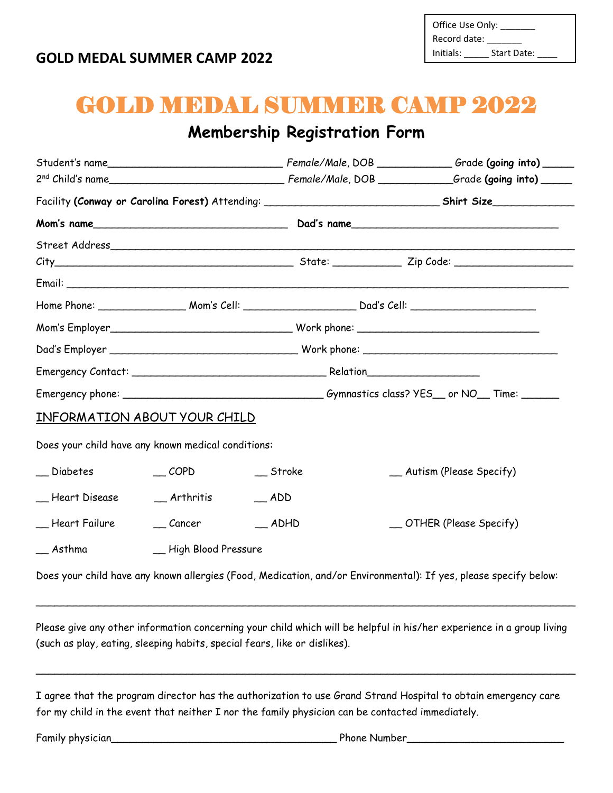| Office Use Only: |             |
|------------------|-------------|
| Record date:     |             |
| Initials:        | Start Date: |

# GOLD MEDAL SUMMER CAMP 2022

# **Membership Registration Form**

|                                                    |                       |                 | Facility (Conway or Carolina Forest) Attending: _________________________________Shirt Size_________             |  |  |  |  |
|----------------------------------------------------|-----------------------|-----------------|------------------------------------------------------------------------------------------------------------------|--|--|--|--|
|                                                    |                       |                 |                                                                                                                  |  |  |  |  |
|                                                    |                       |                 |                                                                                                                  |  |  |  |  |
|                                                    |                       |                 |                                                                                                                  |  |  |  |  |
|                                                    |                       |                 |                                                                                                                  |  |  |  |  |
|                                                    |                       |                 |                                                                                                                  |  |  |  |  |
|                                                    |                       |                 |                                                                                                                  |  |  |  |  |
|                                                    |                       |                 |                                                                                                                  |  |  |  |  |
|                                                    |                       |                 |                                                                                                                  |  |  |  |  |
|                                                    |                       |                 |                                                                                                                  |  |  |  |  |
| <u>INFORMATION ABOUT YOUR CHILD</u>                |                       |                 |                                                                                                                  |  |  |  |  |
| Does your child have any known medical conditions: |                       |                 |                                                                                                                  |  |  |  |  |
| $\equiv$ Diabetes                                  | $\sqrt{COPD}$         | $\equiv$ Stroke | _ Autism (Please Specify)                                                                                        |  |  |  |  |
| __ Heart Disease                                   | $-$ Arthritis         | $-$ ADD         |                                                                                                                  |  |  |  |  |
| __ Heart Failure                                   | $\_\_$ Cancer         | $\_$ ADHD       | _ OTHER (Please Specify)                                                                                         |  |  |  |  |
| $\equiv$ Asthma                                    | _ High Blood Pressure |                 |                                                                                                                  |  |  |  |  |
|                                                    |                       |                 | Does your child have any known allergies (Food, Medication, and/or Environmental): If yes, please specify below: |  |  |  |  |

Please give any other information concerning your child which will be helpful in his/her experience in a group living (such as play, eating, sleeping habits, special fears, like or dislikes).

 $\_$  ,  $\_$  ,  $\_$  ,  $\_$  ,  $\_$  ,  $\_$  ,  $\_$  ,  $\_$  ,  $\_$  ,  $\_$  ,  $\_$  ,  $\_$  ,  $\_$  ,  $\_$  ,  $\_$  ,  $\_$  ,  $\_$  ,  $\_$  ,  $\_$  ,  $\_$  ,  $\_$  ,  $\_$  ,  $\_$  ,  $\_$  ,  $\_$  ,  $\_$  ,  $\_$  ,  $\_$  ,  $\_$  ,  $\_$  ,  $\_$  ,  $\_$  ,  $\_$  ,  $\_$  ,  $\_$  ,  $\_$  ,  $\_$  ,

\_\_\_\_\_\_\_\_\_\_\_\_\_\_\_\_\_\_\_\_\_\_\_\_\_\_\_\_\_\_\_\_\_\_\_\_\_\_\_\_\_\_\_\_\_\_\_\_\_\_\_\_\_\_\_\_\_\_\_\_\_\_\_\_\_\_\_\_\_\_\_\_\_\_\_\_\_\_\_\_\_\_\_\_\_\_

I agree that the program director has the authorization to use Grand Strand Hospital to obtain emergency care for my child in the event that neither I nor the family physician can be contacted immediately.

Family physician\_\_\_\_\_\_\_\_\_\_\_\_\_\_\_\_\_\_\_\_\_\_\_\_\_\_\_\_\_\_\_\_\_\_\_\_ Phone Number\_\_\_\_\_\_\_\_\_\_\_\_\_\_\_\_\_\_\_\_\_\_\_\_\_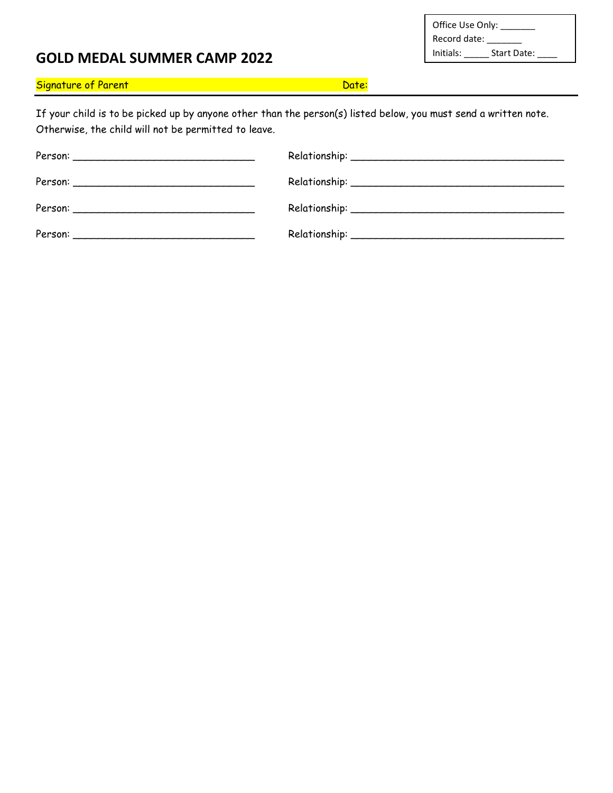| Office Use Only: |             |
|------------------|-------------|
| Record date:     |             |
| Initials:        | Start Date: |

### Signature of Parent Date: Department of Parent Date: Date: Date: Date: Date: Date: Date: Date: Date: Date: Date: Date: Date: Date: Date: Date: Date: Date: Date: Date: Date: Date: Date: Date: Date: Date: Date: Date: Date: D

If your child is to be picked up by anyone other than the person(s) listed below, you must send a written note. Otherwise, the child will not be permitted to leave.

| Person: |  |
|---------|--|
|         |  |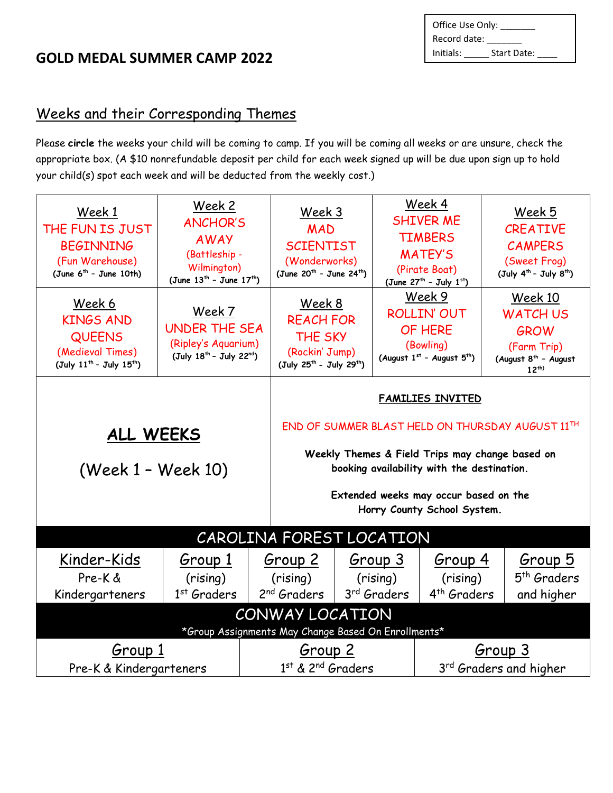| Office Use Only: |             |  |
|------------------|-------------|--|
| Record date:     |             |  |
| Initials:        | Start Date: |  |

# Weeks and their Corresponding Themes

Please **circle** the weeks your child will be coming to camp. If you will be coming all weeks or are unsure, check the appropriate box. (A \$10 nonrefundable deposit per child for each week signed up will be due upon sign up to hold your child(s) spot each week and will be deducted from the weekly cost.)

| Week 1<br>THE FUN IS JUST<br><b>BEGINNING</b><br>(Fun Warehouse)<br>(June $6^{th}$ - June 10th)                                                                                        | <u>Week 2</u><br><b>ANCHOR'S</b><br><b>AWAY</b><br>(Battleship -<br>Wilmington)<br>(June $13^{th}$ - June $17^{th}$ ) |                                                                                                                                                                                            | Week 3<br><b>MAD</b><br><b>SCIENTIST</b><br>(Wonderworks)<br>(June 20 <sup>th</sup> - June 24 <sup>th</sup> )      |  |                                                | Week 4<br><b>SHIVER ME</b><br><b>TIMBERS</b><br><b>MATEY'S</b><br>(Pirate Boat)<br>(June $27^{th}$ - July $1^{st}$ ) |  | Week 5<br><b>CREATIVE</b><br><b>CAMPERS</b><br>(Sweet Frog)<br>$(July 4th - July 8th)$                    |
|----------------------------------------------------------------------------------------------------------------------------------------------------------------------------------------|-----------------------------------------------------------------------------------------------------------------------|--------------------------------------------------------------------------------------------------------------------------------------------------------------------------------------------|--------------------------------------------------------------------------------------------------------------------|--|------------------------------------------------|----------------------------------------------------------------------------------------------------------------------|--|-----------------------------------------------------------------------------------------------------------|
| Week 6<br><b>KINGS AND</b><br><b>QUEENS</b><br>(Medieval Times)<br>(July 11 <sup>th</sup> - July 15 <sup>th</sup> )                                                                    | Week 7<br><b>UNDER THE SEA</b><br>(Ripley's Aquarium)<br>(July 18 <sup>th</sup> - July 22 <sup>nd</sup> )             |                                                                                                                                                                                            | Week 8<br><b>REACH FOR</b><br><b>THE SKY</b><br>(Rockin' Jump)<br>(July 25 <sup>th</sup> - July 29 <sup>th</sup> ) |  |                                                | Week 9<br><b>ROLLIN' OUT</b><br>OF HERE<br>(Bowling)<br>(August 1st - August 5th)                                    |  | Week 10<br><b>WATCH US</b><br><b>GROW</b><br>(Farm Trip)<br>(August 8 <sup>th</sup> - August<br>$12^{th}$ |
|                                                                                                                                                                                        |                                                                                                                       |                                                                                                                                                                                            |                                                                                                                    |  |                                                | FAMILIES INVITED                                                                                                     |  |                                                                                                           |
| ALL WEEKS<br>(Week 1 - Week 10)                                                                                                                                                        |                                                                                                                       | END OF SUMMER BLAST HELD ON THURSDAY AUGUST 11TH<br>Weekly Themes & Field Trips may change based on<br>booking availability with the destination.<br>Extended weeks may occur based on the |                                                                                                                    |  |                                                |                                                                                                                      |  |                                                                                                           |
|                                                                                                                                                                                        |                                                                                                                       |                                                                                                                                                                                            |                                                                                                                    |  | Horry County School System.                    |                                                                                                                      |  |                                                                                                           |
| CAROLINA FOREST LOCATION                                                                                                                                                               |                                                                                                                       |                                                                                                                                                                                            |                                                                                                                    |  |                                                |                                                                                                                      |  |                                                                                                           |
| Kinder-Kids<br>Pre-K &<br>Kindergarteners                                                                                                                                              | Group 1<br>(rising)<br>$1st$ Graders                                                                                  | Group 2<br>(rising)<br>2 <sup>nd</sup> Graders                                                                                                                                             |                                                                                                                    |  | Group 3<br>(rising)<br>3 <sup>rd</sup> Graders | Group 4<br>(rising)<br>4 <sup>th</sup> Graders                                                                       |  | Group 5<br>5 <sup>th</sup> Graders<br>and higher                                                          |
| CONWAY LOCATION                                                                                                                                                                        |                                                                                                                       |                                                                                                                                                                                            |                                                                                                                    |  |                                                |                                                                                                                      |  |                                                                                                           |
| *Group Assignments May Change Based On Enrollments*<br>Group 1<br>Group 3<br>Group 2<br>1st & 2 <sup>nd</sup> Graders<br>3 <sup>rd</sup> Graders and higher<br>Pre-K & Kindergarteners |                                                                                                                       |                                                                                                                                                                                            |                                                                                                                    |  |                                                |                                                                                                                      |  |                                                                                                           |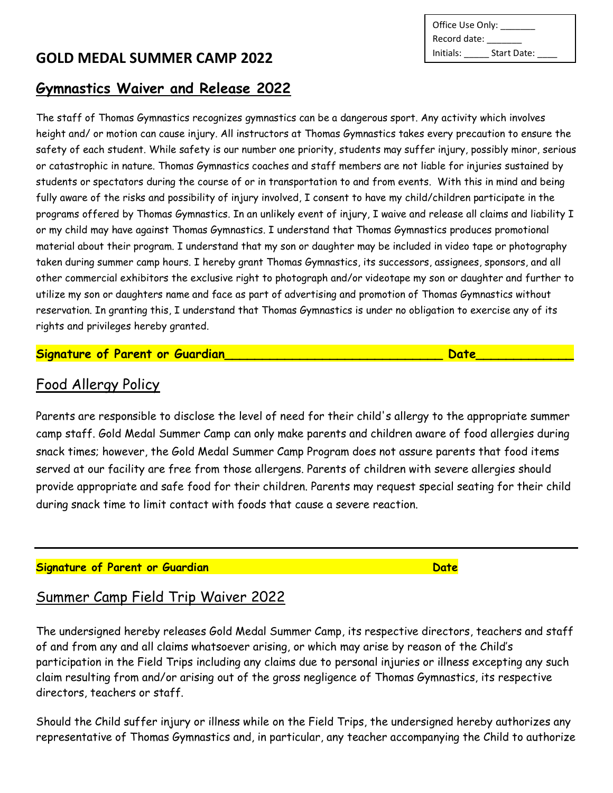### **Gymnastics Waiver and Release 2022**

The staff of Thomas Gymnastics recognizes gymnastics can be a dangerous sport. Any activity which involves height and/ or motion can cause injury. All instructors at Thomas Gymnastics takes every precaution to ensure the safety of each student. While safety is our number one priority, students may suffer injury, possibly minor, serious or catastrophic in nature. Thomas Gymnastics coaches and staff members are not liable for injuries sustained by students or spectators during the course of or in transportation to and from events. With this in mind and being fully aware of the risks and possibility of injury involved, I consent to have my child/children participate in the programs offered by Thomas Gymnastics. In an unlikely event of injury, I waive and release all claims and liability I or my child may have against Thomas Gymnastics. I understand that Thomas Gymnastics produces promotional material about their program. I understand that my son or daughter may be included in video tape or photography taken during summer camp hours. I hereby grant Thomas Gymnastics, its successors, assignees, sponsors, and all other commercial exhibitors the exclusive right to photograph and/or videotape my son or daughter and further to utilize my son or daughters name and face as part of advertising and promotion of Thomas Gymnastics without reservation. In granting this, I understand that Thomas Gymnastics is under no obligation to exercise any of its rights and privileges hereby granted.

### **Signature of Parent or Guardian\_\_\_\_\_\_\_\_\_\_\_\_\_\_\_\_\_\_\_\_\_\_\_\_\_\_\_\_\_ Date\_\_\_\_\_\_\_\_\_\_\_\_\_**

### Food Allergy Policy

Parents are responsible to disclose the level of need for their child's allergy to the appropriate summer camp staff. Gold Medal Summer Camp can only make parents and children aware of food allergies during snack times; however, the Gold Medal Summer Camp Program does not assure parents that food items served at our facility are free from those allergens. Parents of children with severe allergies should provide appropriate and safe food for their children. Parents may request special seating for their child during snack time to limit contact with foods that cause a severe reaction.

### **Signature of Parent or Guardian Date**

# Summer Camp Field Trip Waiver 2022

The undersigned hereby releases Gold Medal Summer Camp, its respective directors, teachers and staff of and from any and all claims whatsoever arising, or which may arise by reason of the Child's participation in the Field Trips including any claims due to personal injuries or illness excepting any such claim resulting from and/or arising out of the gross negligence of Thomas Gymnastics, its respective directors, teachers or staff.

Should the Child suffer injury or illness while on the Field Trips, the undersigned hereby authorizes any representative of Thomas Gymnastics and, in particular, any teacher accompanying the Child to authorize

Office Use Only: \_\_ Record date: \_\_\_\_\_\_\_ Initials: Start Date: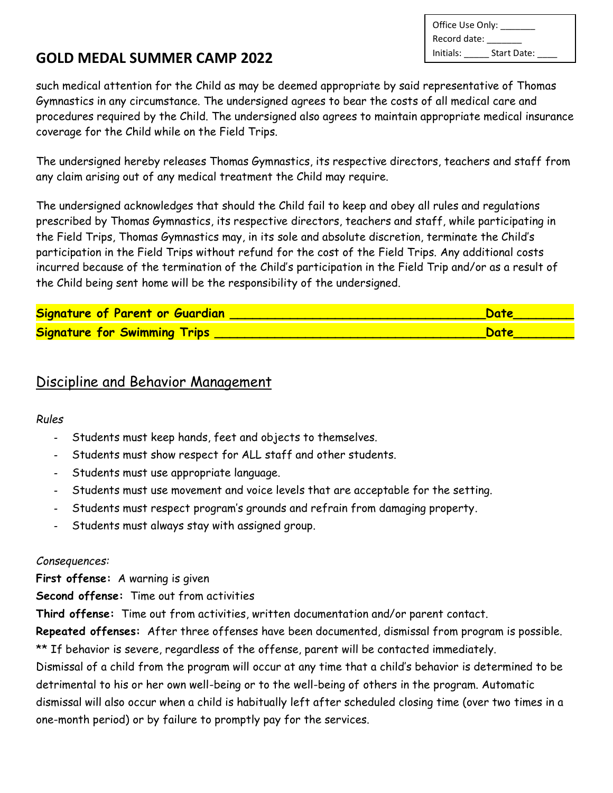| Office Use Only: |             |
|------------------|-------------|
| Record date:     |             |
| Initials:        | Start Date: |

such medical attention for the Child as may be deemed appropriate by said representative of Thomas Gymnastics in any circumstance. The undersigned agrees to bear the costs of all medical care and procedures required by the Child. The undersigned also agrees to maintain appropriate medical insurance coverage for the Child while on the Field Trips.

The undersigned hereby releases Thomas Gymnastics, its respective directors, teachers and staff from any claim arising out of any medical treatment the Child may require.

The undersigned acknowledges that should the Child fail to keep and obey all rules and regulations prescribed by Thomas Gymnastics, its respective directors, teachers and staff, while participating in the Field Trips, Thomas Gymnastics may, in its sole and absolute discretion, terminate the Child's participation in the Field Trips without refund for the cost of the Field Trips. Any additional costs incurred because of the termination of the Child's participation in the Field Trip and/or as a result of the Child being sent home will be the responsibility of the undersigned.

| Signature of Parent or Guardian     | Date |
|-------------------------------------|------|
| <b>Signature for Swimming Trips</b> | Date |

# Discipline and Behavior Management

### *Rules*

- *-* Students must keep hands, feet and objects to themselves.
- *-* Students must show respect for ALL staff and other students.
- *-* Students must use appropriate language.
- *-* Students must use movement and voice levels that are acceptable for the setting.
- *-* Students must respect program's grounds and refrain from damaging property.
- *-* Students must always stay with assigned group.

### *Consequences:*

**First offense:** A warning is given

**Second offense:** Time out from activities

**Third offense:** Time out from activities, written documentation and/or parent contact.

**Repeated offenses:** After three offenses have been documented, dismissal from program is possible. \*\* If behavior is severe, regardless of the offense, parent will be contacted immediately.

Dismissal of a child from the program will occur at any time that a child's behavior is determined to be detrimental to his or her own well-being or to the well-being of others in the program. Automatic dismissal will also occur when a child is habitually left after scheduled closing time (over two times in a one-month period) or by failure to promptly pay for the services.